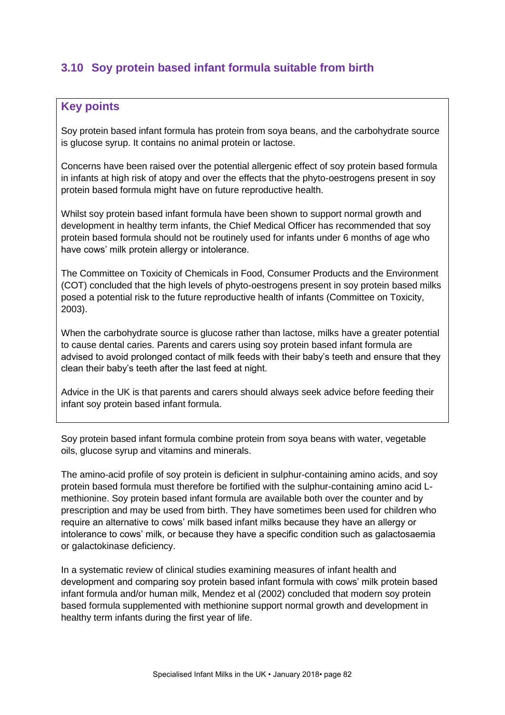## **3.10 Soy protein based infant formula suitable from birth**

## **Key points**

Soy protein based infant formula has protein from soya beans, and the carbohydrate source is glucose syrup. It contains no animal protein or lactose.

Concerns have been raised over the potential allergenic effect of soy protein based formula in infants at high risk of atopy and over the effects that the phyto-oestrogens present in soy protein based formula might have on future reproductive health.

Whilst soy protein based infant formula have been shown to support normal growth and development in healthy term infants, the Chief Medical Officer has recommended that soy protein based formula should not be routinely used for infants under 6 months of age who have cows' milk protein allergy or intolerance.

The Committee on Toxicity of Chemicals in Food, Consumer Products and the Environment (COT) concluded that the high levels of phyto-oestrogens present in soy protein based milks posed a potential risk to the future reproductive health of infants (Committee on Toxicity, 2003).

When the carbohydrate source is glucose rather than lactose, milks have a greater potential to cause dental caries. Parents and carers using soy protein based infant formula are advised to avoid prolonged contact of milk feeds with their baby's teeth and ensure that they clean their baby's teeth after the last feed at night.

Advice in the UK is that parents and carers should always seek advice before feeding their infant soy protein based infant formula.

Soy protein based infant formula combine protein from soya beans with water, vegetable oils, glucose syrup and vitamins and minerals.

The amino-acid profile of soy protein is deficient in sulphur-containing amino acids, and soy protein based formula must therefore be fortified with the sulphur-containing amino acid Lmethionine. Soy protein based infant formula are available both over the counter and by prescription and may be used from birth. They have sometimes been used for children who require an alternative to cows' milk based infant milks because they have an allergy or intolerance to cows' milk, or because they have a specific condition such as galactosaemia or galactokinase deficiency.

In a systematic review of clinical studies examining measures of infant health and development and comparing soy protein based infant formula with cows' milk protein based infant formula and/or human milk, Mendez et al (2002) concluded that modern soy protein based formula supplemented with methionine support normal growth and development in healthy term infants during the first year of life.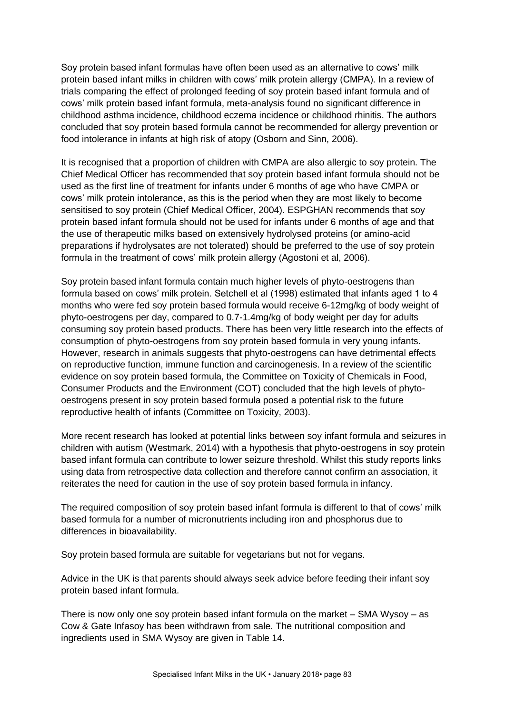Soy protein based infant formulas have often been used as an alternative to cows' milk protein based infant milks in children with cows' milk protein allergy (CMPA). In a review of trials comparing the effect of prolonged feeding of soy protein based infant formula and of cows' milk protein based infant formula, meta-analysis found no significant difference in childhood asthma incidence, childhood eczema incidence or childhood rhinitis. The authors concluded that soy protein based formula cannot be recommended for allergy prevention or food intolerance in infants at high risk of atopy (Osborn and Sinn, 2006).

It is recognised that a proportion of children with CMPA are also allergic to soy protein. The Chief Medical Officer has recommended that soy protein based infant formula should not be used as the first line of treatment for infants under 6 months of age who have CMPA or cows' milk protein intolerance, as this is the period when they are most likely to become sensitised to soy protein (Chief Medical Officer, 2004). ESPGHAN recommends that soy protein based infant formula should not be used for infants under 6 months of age and that the use of therapeutic milks based on extensively hydrolysed proteins (or amino-acid preparations if hydrolysates are not tolerated) should be preferred to the use of soy protein formula in the treatment of cows' milk protein allergy (Agostoni et al, 2006).

Soy protein based infant formula contain much higher levels of phyto-oestrogens than formula based on cows' milk protein. Setchell et al (1998) estimated that infants aged 1 to 4 months who were fed soy protein based formula would receive 6-12mg/kg of body weight of phyto-oestrogens per day, compared to 0.7-1.4mg/kg of body weight per day for adults consuming soy protein based products. There has been very little research into the effects of consumption of phyto-oestrogens from soy protein based formula in very young infants. However, research in animals suggests that phyto-oestrogens can have detrimental effects on reproductive function, immune function and carcinogenesis. In a review of the scientific evidence on soy protein based formula, the Committee on Toxicity of Chemicals in Food, Consumer Products and the Environment (COT) concluded that the high levels of phytooestrogens present in soy protein based formula posed a potential risk to the future reproductive health of infants (Committee on Toxicity, 2003).

More recent research has looked at potential links between soy infant formula and seizures in children with autism (Westmark, 2014) with a hypothesis that phyto-oestrogens in soy protein based infant formula can contribute to lower seizure threshold. Whilst this study reports links using data from retrospective data collection and therefore cannot confirm an association, it reiterates the need for caution in the use of soy protein based formula in infancy.

The required composition of soy protein based infant formula is different to that of cows' milk based formula for a number of micronutrients including iron and phosphorus due to differences in bioavailability.

Soy protein based formula are suitable for vegetarians but not for vegans.

Advice in the UK is that parents should always seek advice before feeding their infant soy protein based infant formula.

There is now only one soy protein based infant formula on the market – SMA Wysoy – as Cow & Gate Infasoy has been withdrawn from sale. The nutritional composition and ingredients used in SMA Wysoy are given in Table 14.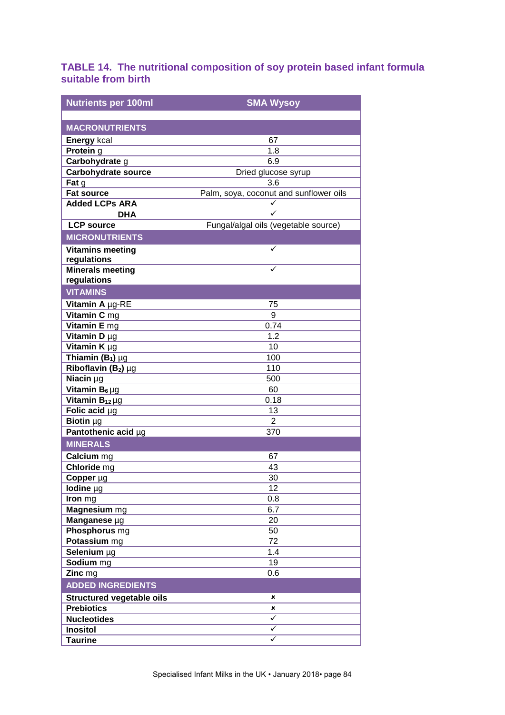## **TABLE 14. The nutritional composition of soy protein based infant formula suitable from birth**

| <b>Nutrients per 100ml</b>             | <b>SMA Wysoy</b>                       |
|----------------------------------------|----------------------------------------|
|                                        |                                        |
| <b>MACRONUTRIENTS</b>                  |                                        |
| <b>Energy kcal</b>                     | 67                                     |
| Protein g                              | 1.8                                    |
| Carbohydrate g                         | 6.9                                    |
| <b>Carbohydrate source</b>             | Dried glucose syrup                    |
| Fat g                                  | 3.6                                    |
| <b>Fat source</b>                      | Palm, soya, coconut and sunflower oils |
| <b>Added LCPs ARA</b>                  | ✓                                      |
| <b>DHA</b>                             | ✓                                      |
| <b>LCP source</b>                      | Fungal/algal oils (vegetable source)   |
| <b>MICRONUTRIENTS</b>                  |                                        |
| <b>Vitamins meeting</b>                | ✓                                      |
| regulations                            | ✓                                      |
| <b>Minerals meeting</b><br>regulations |                                        |
| <b>VITAMINS</b>                        |                                        |
| Vitamin A µg-RE                        | 75                                     |
| Vitamin C mg                           | 9                                      |
| Vitamin E mg                           | 0.74                                   |
| Vitamin D µg                           | 1.2                                    |
| Vitamin K µg                           | 10                                     |
| Thiamin $(B_1)$ µg                     | 100                                    |
| Riboflavin $(B_2)$ µg                  | 110                                    |
| Niacin µg                              | 500                                    |
| Vitamin $B_6 \mu g$                    | 60                                     |
| Vitamin $B_{12} \mu g$                 | 0.18                                   |
| Folic acid µg                          | 13                                     |
| Biotin µg                              | $\overline{2}$                         |
| Pantothenic acid µg                    | 370                                    |
| <b>MINERALS</b>                        |                                        |
| Calcium <sub>mg</sub>                  | 67                                     |
| Chloride mg                            | 43                                     |
| Copper µg                              | 30                                     |
| lodine µg                              | 12                                     |
| Iron mg                                | 0.8                                    |
| Magnesium mg                           | 6.7                                    |
| Manganese µg                           | 20                                     |
| Phosphorus mg                          | 50                                     |
| Potassium mg                           | 72                                     |
| Selenium µg                            | 1.4                                    |
| Sodium mg                              | 19                                     |
| Zinc mg                                | 0.6                                    |
| <b>ADDED INGREDIENTS</b>               |                                        |
| <b>Structured vegetable oils</b>       | ×                                      |
| <b>Prebiotics</b>                      | ×                                      |
| <b>Nucleotides</b>                     | ✓                                      |
| <b>Inositol</b>                        | ✓                                      |
| <b>Taurine</b>                         | ✓                                      |